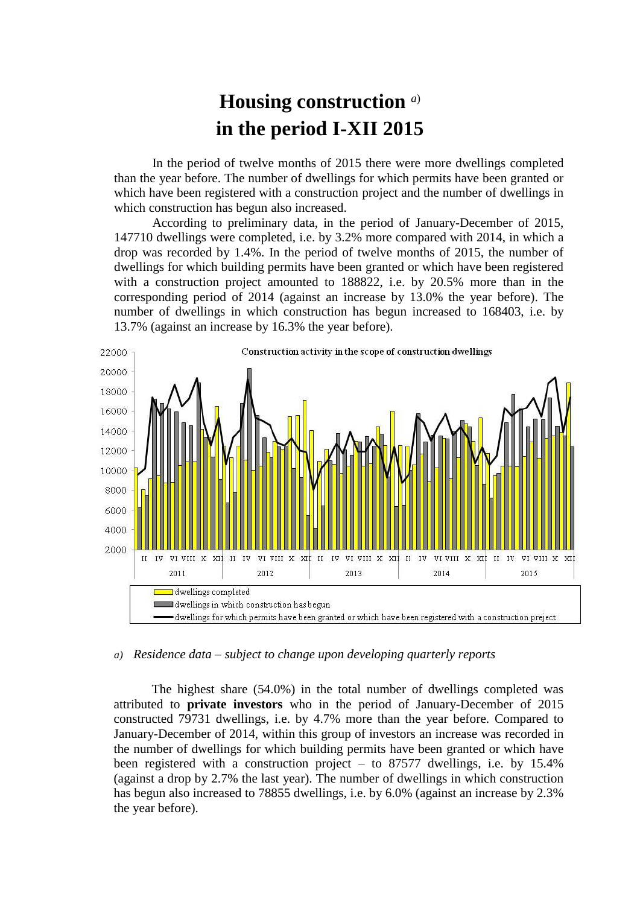## **Housing construction** *a*) **in the period I-XII 2015**

In the period of twelve months of 2015 there were more dwellings completed than the year before. The number of dwellings for which permits have been granted or which have been registered with a construction project and the number of dwellings in which construction has begun also increased.

According to preliminary data, in the period of January-December of 2015, 147710 dwellings were completed, i.e. by 3.2% more compared with 2014, in which a drop was recorded by 1.4%. In the period of twelve months of 2015, the number of dwellings for which building permits have been granted or which have been registered with a construction project amounted to 188822, i.e. by 20.5% more than in the corresponding period of 2014 (against an increase by 13.0% the year before). The number of dwellings in which construction has begun increased to 168403, i.e. by 13.7% (against an increase by 16.3% the year before).



## *a) Residence data – subject to change upon developing quarterly reports*

The highest share (54.0%) in the total number of dwellings completed was attributed to **private investors** who in the period of January-December of 2015 constructed 79731 dwellings, i.e. by 4.7% more than the year before. Compared to January-December of 2014, within this group of investors an increase was recorded in the number of dwellings for which building permits have been granted or which have been registered with a construction project – to 87577 dwellings, i.e. by 15.4% (against a drop by 2.7% the last year). The number of dwellings in which construction has begun also increased to 78855 dwellings, i.e. by 6.0% (against an increase by 2.3% the year before).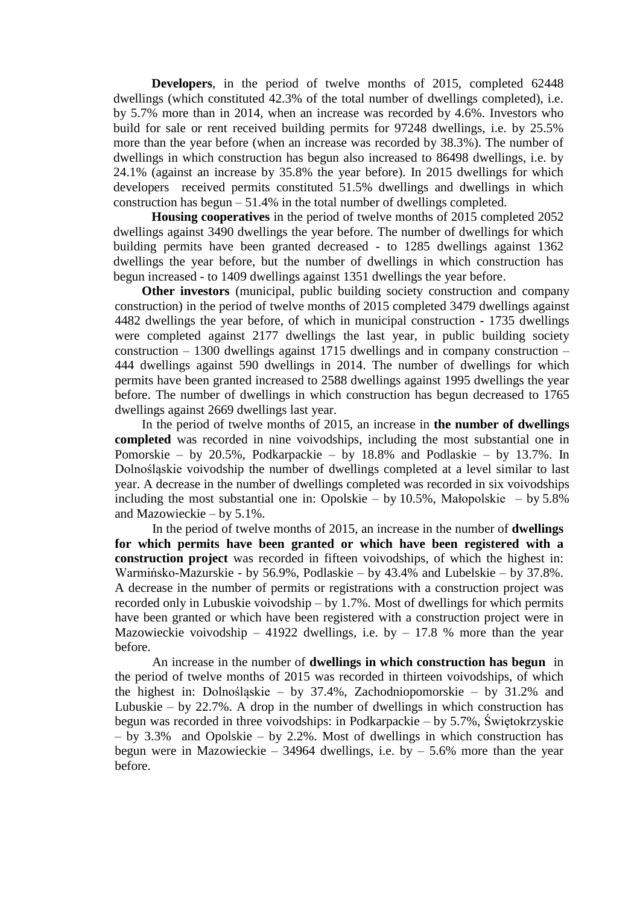**Developers**, in the period of twelve months of 2015, completed 62448 dwellings (which constituted 42.3% of the total number of dwellings completed), i.e. by 5.7% more than in 2014, when an increase was recorded by 4.6%. Investors who build for sale or rent received building permits for 97248 dwellings, i.e. by 25.5% more than the year before (when an increase was recorded by 38.3%). The number of dwellings in which construction has begun also increased to 86498 dwellings, i.e. by 24.1% (against an increase by 35.8% the year before). In 2015 dwellings for which developers received permits constituted 51.5% dwellings and dwellings in which construction has begun  $-51.4\%$  in the total number of dwellings completed.

**Housing cooperatives** in the period of twelve months of 2015 completed 2052 dwellings against 3490 dwellings the year before. The number of dwellings for which building permits have been granted decreased - to 1285 dwellings against 1362 dwellings the year before, but the number of dwellings in which construction has begun increased - to 1409 dwellings against 1351 dwellings the year before.

**Other investors** (municipal, public building society construction and company construction) in the period of twelve months of 2015 completed 3479 dwellings against 4482 dwellings the year before, of which in municipal construction - 1735 dwellings were completed against 2177 dwellings the last year, in public building society construction – 1300 dwellings against 1715 dwellings and in company construction – 444 dwellings against 590 dwellings in 2014. The number of dwellings for which permits have been granted increased to 2588 dwellings against 1995 dwellings the year before. The number of dwellings in which construction has begun decreased to 1765 dwellings against 2669 dwellings last year.

In the period of twelve months of 2015, an increase in **the number of dwellings completed** was recorded in nine voivodships, including the most substantial one in Pomorskie – by 20.5%, Podkarpackie – by 18.8% and Podlaskie – by 13.7%. In Dolnośląskie voivodship the number of dwellings completed at a level similar to last year. A decrease in the number of dwellings completed was recorded in six voivodships including the most substantial one in: Opolskie – by  $10.5\%$ , Małopolskie – by  $5.8\%$ and Mazowieckie – by 5.1%.

In the period of twelve months of 2015, an increase in the number of **dwellings for which permits have been granted or which have been registered with a construction project** was recorded in fifteen voivodships, of which the highest in: Warmińsko-Mazurskie - by 56.9%, Podlaskie – by 43.4% and Lubelskie – by 37.8%. A decrease in the number of permits or registrations with a construction project was recorded only in Lubuskie voivodship – by 1.7%. Most of dwellings for which permits have been granted or which have been registered with a construction project were in Mazowieckie voivodship – 41922 dwellings, i.e. by – 17.8 % more than the year before.

An increase in the number of **dwellings in which construction has begun** in the period of twelve months of 2015 was recorded in thirteen voivodships, of which the highest in: Dolnośląskie – by 37.4%, Zachodniopomorskie – by 31.2% and Lubuskie – by  $22.7\%$ . A drop in the number of dwellings in which construction has begun was recorded in three voivodships: in Podkarpackie – by 5.7%, Świętokrzyskie – by 3.3% and Opolskie – by 2.2%. Most of dwellings in which construction has begun were in Mazowieckie – 34964 dwellings, i.e. by – 5.6% more than the year before.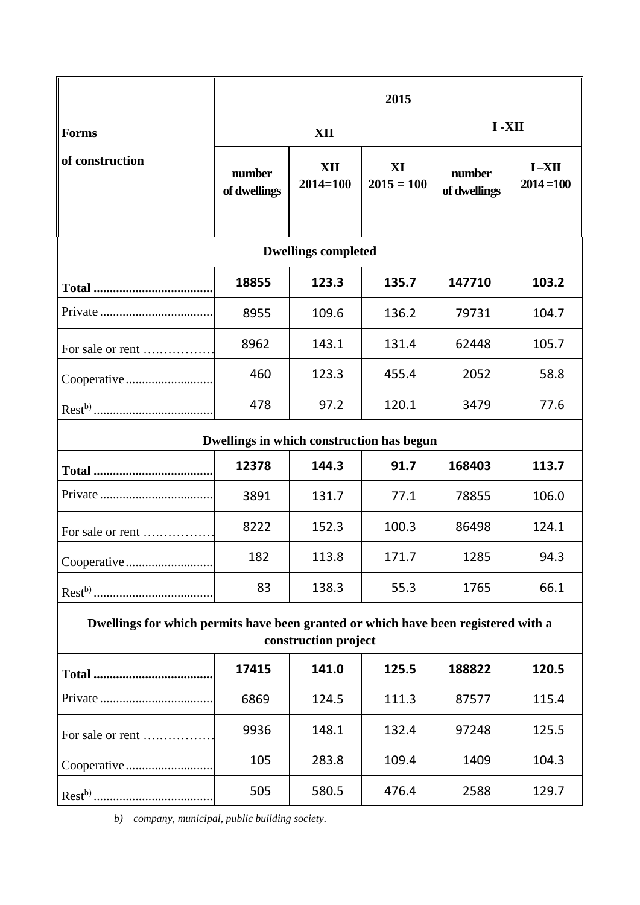|                                                                                                            | 2015                   |                     |                    |                        |                           |
|------------------------------------------------------------------------------------------------------------|------------------------|---------------------|--------------------|------------------------|---------------------------|
| <b>Forms</b>                                                                                               | XII                    |                     |                    | I-XII                  |                           |
| of construction                                                                                            | number<br>of dwellings | XII<br>$2014 = 100$ | XI<br>$2015 = 100$ | number<br>of dwellings | $I - XII$<br>$2014 = 100$ |
| <b>Dwellings completed</b>                                                                                 |                        |                     |                    |                        |                           |
|                                                                                                            | 18855                  | 123.3               | 135.7              | 147710                 | 103.2                     |
|                                                                                                            | 8955                   | 109.6               | 136.2              | 79731                  | 104.7                     |
| For sale or rent                                                                                           | 8962                   | 143.1               | 131.4              | 62448                  | 105.7                     |
| Cooperative                                                                                                | 460                    | 123.3               | 455.4              | 2052                   | 58.8                      |
|                                                                                                            | 478                    | 97.2                | 120.1              | 3479                   | 77.6                      |
| Dwellings in which construction has begun                                                                  |                        |                     |                    |                        |                           |
|                                                                                                            | 12378                  | 144.3               | 91.7               | 168403                 | 113.7                     |
|                                                                                                            | 3891                   | 131.7               | 77.1               | 78855                  | 106.0                     |
| For sale or rent                                                                                           | 8222                   | 152.3               | 100.3              | 86498                  | 124.1                     |
|                                                                                                            | 182                    | 113.8               | 171.7              | 1285                   | 94.3                      |
|                                                                                                            | 83                     | 138.3               | 55.3               | 1765                   | 66.1                      |
| Dwellings for which permits have been granted or which have been registered with a<br>construction project |                        |                     |                    |                        |                           |
|                                                                                                            | 17415                  | 141.0               | 125.5              | 188822                 | 120.5                     |
|                                                                                                            | 6869                   | 124.5               | 111.3              | 87577                  | 115.4                     |
| For sale or rent                                                                                           | 9936                   | 148.1               | 132.4              | 97248                  | 125.5                     |
|                                                                                                            | 105                    | 283.8               | 109.4              | 1409                   | 104.3                     |
|                                                                                                            | 505                    | 580.5               | 476.4              | 2588                   | 129.7                     |

*b) company, municipal, public building society.*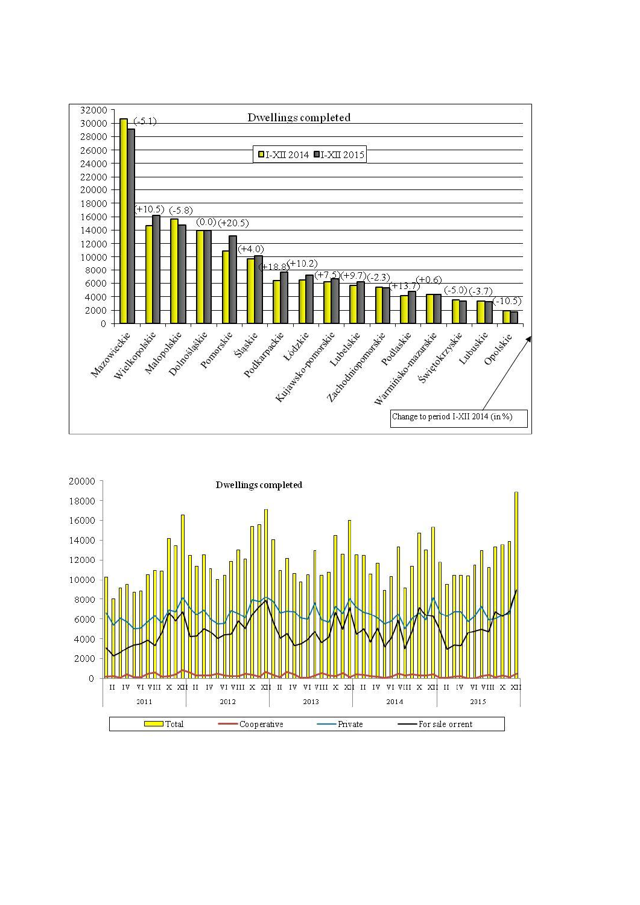